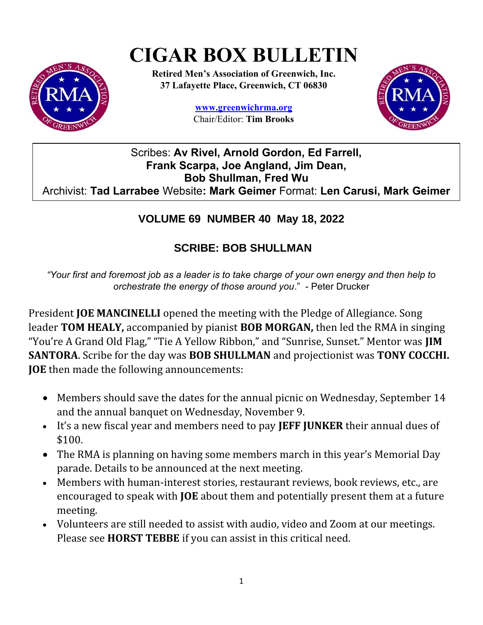# **CIGAR BOX BULLETIN**



**Retired Men's Association of Greenwich, Inc. 37 Lafayette Place, Greenwich, CT 06830**

> **www.greenwichrma.org** Chair/Editor: **Tim Brooks**



## Scribes: **Av Rivel, Arnold Gordon, Ed Farrell, Frank Scarpa, Joe Angland, Jim Dean, Bob Shullman, Fred Wu** Archivist: **Tad Larrabee** Website**: Mark Geimer** Format: **Len Carusi, Mark Geimer**

## **VOLUME 69 NUMBER 40 May 18, 2022**

# **SCRIBE: BOB SHULLMAN**

*"Your first and foremost job as a leader is to take charge of your own energy and then help to orchestrate the energy of those around you*." - Peter Drucker

President **JOE MANCINELLI** opened the meeting with the Pledge of Allegiance. Song leader **TOM HEALY,** accompanied by pianist **BOB MORGAN,** then led the RMA in singing "You're A Grand Old Flag," "Tie A Yellow Ribbon," and "Sunrise, Sunset." Mentor was **JIM SANTORA**. Scribe for the day was **BOB SHULLMAN** and projectionist was **TONY COCCHI. JOE** then made the following announcements:

- Members should save the dates for the annual picnic on Wednesday, September 14 and the annual banquet on Wednesday, November 9.
- It's a new fiscal year and members need to pay **JEFF JUNKER** their annual dues of \$100.
- The RMA is planning on having some members march in this year's Memorial Day parade. Details to be announced at the next meeting.
- Members with human-interest stories, restaurant reviews, book reviews, etc., are encouraged to speak with **JOE** about them and potentially present them at a future meeting.
- Volunteers are still needed to assist with audio, video and Zoom at our meetings. Please see **HORST TEBBE** if you can assist in this critical need.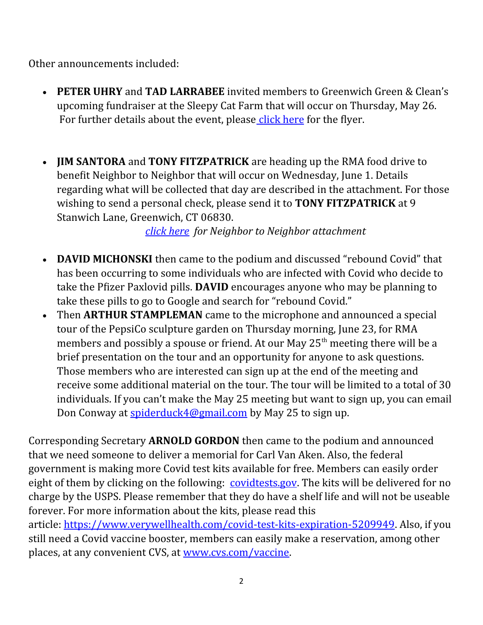Other announcements included:

- **PETER UHRY** and **TAD LARRABEE** invited members to Greenwich Green & Clean's upcoming fundraiser at the Sleepy Cat Farm that will occur on Thursday, May 26. For further details about the event, please [click here](https://drive.google.com/file/d/1geIo4IJ1ZfQDxTNBzOP36U4_e0tPWnNc/view?usp=sharing) for the flyer.
- **JIM SANTORA** and **TONY FITZPATRICK** are heading up the RMA food drive to benefit Neighbor to Neighbor that will occur on Wednesday, June 1. Details regarding what will be collected that day are described in the attachment. For those wishing to send a personal check, please send it to **TONY FITZPATRICK** at 9 Stanwich Lane, Greenwich, CT 06830.

*[click here](https://drive.google.com/file/d/10hc5oeyotzCYGqjrsYm--YDUWGsBuCjc/view?usp=sharing) for Neighbor to Neighbor attachment*

- **DAVID MICHONSKI** then came to the podium and discussed "rebound Covid" that has been occurring to some individuals who are infected with Covid who decide to take the Pfizer Paxlovid pills. **DAVID** encourages anyone who may be planning to take these pills to go to Google and search for "rebound Covid."
- Then **ARTHUR STAMPLEMAN** came to the microphone and announced a special tour of the PepsiCo sculpture garden on Thursday morning, June 23, for RMA members and possibly a spouse or friend. At our May  $25<sup>th</sup>$  meeting there will be a brief presentation on the tour and an opportunity for anyone to ask questions. Those members who are interested can sign up at the end of the meeting and receive some additional material on the tour. The tour will be limited to a total of 30 individuals. If you can't make the May 25 meeting but want to sign up, you can email Don Conway at [spiderduck4@gmail.com](mailto:spiderduck4@gmail.com) by May 25 to sign up.

Corresponding Secretary **ARNOLD GORDON** then came to the podium and announced that we need someone to deliver a memorial for Carl Van Aken. Also, the federal government is making more Covid test kits available for free. Members can easily order eight of them by clicking on the following: [covidtests.gov.](https://www.covidtests.gov/) The kits will be delivered for no charge by the USPS. Please remember that they do have a shelf life and will not be useable forever. For more information about the kits, please read this article: [https://www.verywellhealth.com/covid-test-kits-expiration-5209949.](https://www.verywellhealth.com/covid-test-kits-expiration-5209949) Also, if you still need a Covid vaccine booster, members can easily make a reservation, among other places, at any convenient CVS, at [www.cvs.com/vaccine.](http://www.cvs.com/vaccine)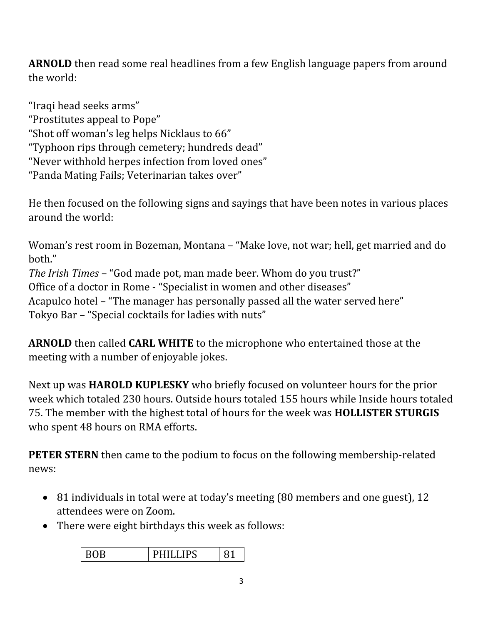**ARNOLD** then read some real headlines from a few English language papers from around the world:

"Iraqi head seeks arms" "Prostitutes appeal to Pope" "Shot off woman's leg helps Nicklaus to 66" "Typhoon rips through cemetery; hundreds dead" "Never withhold herpes infection from loved ones" "Panda Mating Fails; Veterinarian takes over"

He then focused on the following signs and sayings that have been notes in various places around the world:

Woman's rest room in Bozeman, Montana – "Make love, not war; hell, get married and do both." *The Irish Times* – "God made pot, man made beer. Whom do you trust?" Office of a doctor in Rome - "Specialist in women and other diseases" Acapulco hotel – "The manager has personally passed all the water served here" Tokyo Bar – "Special cocktails for ladies with nuts"

**ARNOLD** then called **CARL WHITE** to the microphone who entertained those at the meeting with a number of enjoyable jokes.

Next up was **HAROLD KUPLESKY** who briefly focused on volunteer hours for the prior week which totaled 230 hours. Outside hours totaled 155 hours while Inside hours totaled 75. The member with the highest total of hours for the week was **HOLLISTER STURGIS** who spent 48 hours on RMA efforts.

**PETER STERN** then came to the podium to focus on the following membership-related news:

- 81 individuals in total were at today's meeting (80 members and one guest), 12 attendees were on Zoom.
- There were eight birthdays this week as follows:

| ັ<br>--------<br>- |
|--------------------|
|--------------------|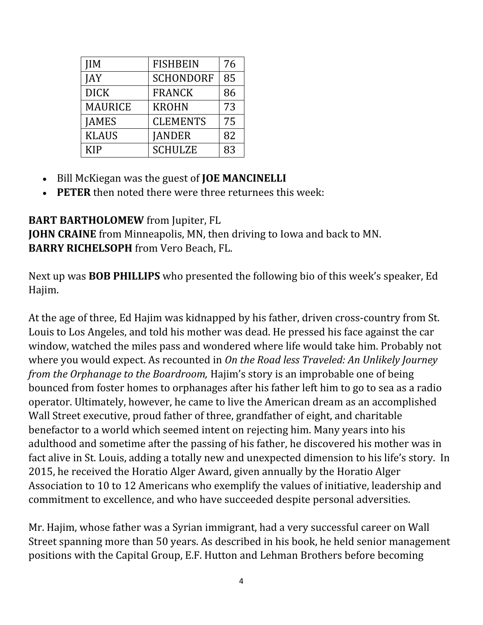| IМ             | <b>FISHBEIN</b>  | 76 |
|----------------|------------------|----|
| IAY            | <b>SCHONDORF</b> | 85 |
| <b>DICK</b>    | <b>FRANCK</b>    | 86 |
| <b>MAURICE</b> | <b>KROHN</b>     | 73 |
| <b>JAMES</b>   | <b>CLEMENTS</b>  | 75 |
| <b>KLAUS</b>   | <b>JANDER</b>    | 82 |
| KIP            | <b>SCHULZE</b>   | 83 |

- Bill McKiegan was the guest of **JOE MANCINELLI**
- **PETER** then noted there were three returnees this week:

## **BART BARTHOLOMEW** from Jupiter, FL

**JOHN CRAINE** from Minneapolis, MN, then driving to Iowa and back to MN. **BARRY RICHELSOPH** from Vero Beach, FL.

Next up was **BOB PHILLIPS** who presented the following bio of this week's speaker, Ed Hajim.

At the age of three, Ed Hajim was kidnapped by his father, driven cross-country from St. Louis to Los Angeles, and told his mother was dead. He pressed his face against the car window, watched the miles pass and wondered where life would take him. Probably not where you would expect. As recounted in *On the Road less Traveled: An Unlikely Journey from the Orphanage to the Boardroom,* Hajim's story is an improbable one of being bounced from foster homes to orphanages after his father left him to go to sea as a radio operator. Ultimately, however, he came to live the American dream as an accomplished Wall Street executive, proud father of three, grandfather of eight, and charitable benefactor to a world which seemed intent on rejecting him. Many years into his adulthood and sometime after the passing of his father, he discovered his mother was in fact alive in St. Louis, adding a totally new and unexpected dimension to his life's story. In 2015, he received the Horatio Alger Award, given annually by the Horatio Alger Association to 10 to 12 Americans who exemplify the values of initiative, leadership and commitment to excellence, and who have succeeded despite personal adversities.

Mr. Hajim, whose father was a Syrian immigrant, had a very successful career on Wall Street spanning more than 50 years. As described in his book, he held senior management positions with the Capital Group, E.F. Hutton and Lehman Brothers before becoming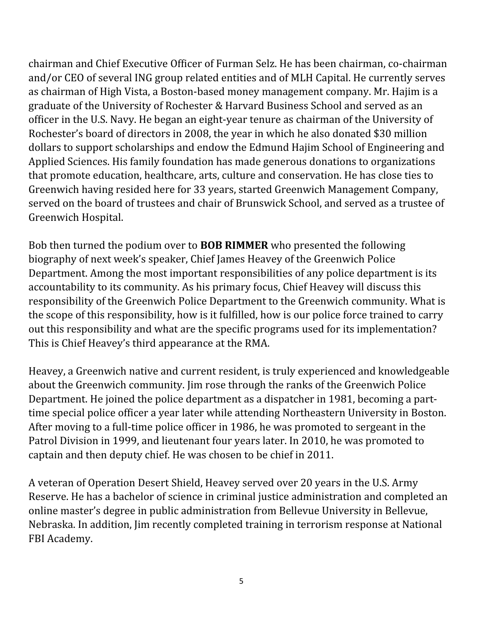chairman and Chief Executive Officer of Furman Selz. He has been chairman, co-chairman and/or CEO of several ING group related entities and of MLH Capital. He currently serves as chairman of High Vista, a Boston-based money management company. Mr. Hajim is a graduate of the University of Rochester & Harvard Business School and served as an officer in the U.S. Navy. He began an eight-year tenure as chairman of the University of Rochester's board of directors in 2008, the year in which he also donated \$30 million dollars to support scholarships and endow the Edmund Hajim School of Engineering and Applied Sciences. His family foundation has made generous donations to organizations that promote education, healthcare, arts, culture and conservation. He has close ties to Greenwich having resided here for 33 years, started Greenwich Management Company, served on the board of trustees and chair of Brunswick School, and served as a trustee of Greenwich Hospital.

Bob then turned the podium over to **BOB RIMMER** who presented the following biography of next week's speaker, Chief James Heavey of the Greenwich Police Department. Among the most important responsibilities of any police department is its accountability to its community. As his primary focus, Chief Heavey will discuss this responsibility of the Greenwich Police Department to the Greenwich community. What is the scope of this responsibility, how is it fulfilled, how is our police force trained to carry out this responsibility and what are the specific programs used for its implementation? This is Chief Heavey's third appearance at the RMA.

Heavey, a Greenwich native and current resident, is truly experienced and knowledgeable about the Greenwich community. Jim rose through the ranks of the Greenwich Police Department. He joined the police department as a dispatcher in 1981, becoming a parttime special police officer a year later while attending Northeastern University in Boston. After moving to a full-time police officer in 1986, he was promoted to sergeant in the Patrol Division in 1999, and lieutenant four years later. In 2010, he was promoted to captain and then deputy chief. He was chosen to be chief in 2011.

A veteran of Operation Desert Shield, Heavey served over 20 years in the U.S. Army Reserve. He has a bachelor of science in criminal justice administration and completed an online master's degree in public administration from Bellevue University in Bellevue, Nebraska. In addition, Jim recently completed training in terrorism response at National FBI Academy.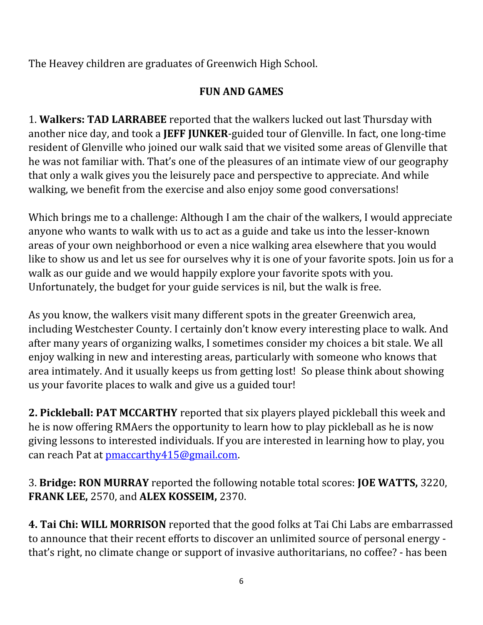The Heavey children are graduates of Greenwich High School.

# **FUN AND GAMES**

1. **Walkers: TAD LARRABEE** reported that the walkers lucked out last Thursday with another nice day, and took a **JEFF JUNKER**-guided tour of Glenville. In fact, one long-time resident of Glenville who joined our walk said that we visited some areas of Glenville that he was not familiar with. That's one of the pleasures of an intimate view of our geography that only a walk gives you the leisurely pace and perspective to appreciate. And while walking, we benefit from the exercise and also enjoy some good conversations!

Which brings me to a challenge: Although I am the chair of the walkers, I would appreciate anyone who wants to walk with us to act as a guide and take us into the lesser-known areas of your own neighborhood or even a nice walking area elsewhere that you would like to show us and let us see for ourselves why it is one of your favorite spots. Join us for a walk as our guide and we would happily explore your favorite spots with you. Unfortunately, the budget for your guide services is nil, but the walk is free.

As you know, the walkers visit many different spots in the greater Greenwich area, including Westchester County. I certainly don't know every interesting place to walk. And after many years of organizing walks, I sometimes consider my choices a bit stale. We all enjoy walking in new and interesting areas, particularly with someone who knows that area intimately. And it usually keeps us from getting lost! So please think about showing us your favorite places to walk and give us a guided tour!

**2. Pickleball: PAT MCCARTHY** reported that six players played pickleball this week and he is now offering RMAers the opportunity to learn how to play pickleball as he is now giving lessons to interested individuals. If you are interested in learning how to play, you can reach Pat at [pmaccarthy415@gmail.com](mailto:pmaccarthy415@gmail.com).

3. **Bridge: RON MURRAY** reported the following notable total scores: **JOE WATTS,** 3220, **FRANK LEE,** 2570, and **ALEX KOSSEIM,** 2370.

**4. Tai Chi: WILL MORRISON** reported that the good folks at Tai Chi Labs are embarrassed to announce that their recent efforts to discover an unlimited source of personal energy that's right, no climate change or support of invasive authoritarians, no coffee? - has been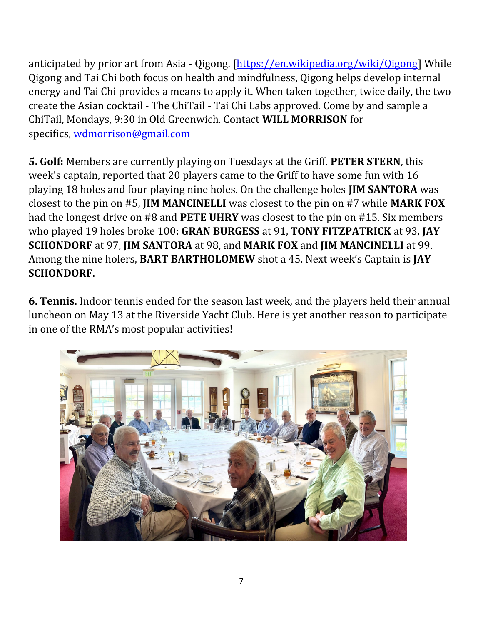anticipated by prior art from Asia - [Qigong](about:blank). [\[https://en.wikipedia.org/wiki/Qigong\]](https://en.wikipedia.org/wiki/Qigong) While Qigong and Tai Chi both focus on health and mindfulness, Qigong helps develop internal energy and Tai Chi provides a means to apply it. When taken together, twice daily, the two create the Asian cocktail - The ChiTail - Tai Chi Labs approved. Come by and sample a ChiTail, Mondays, 9:30 in Old Greenwich. Contact **WILL MORRISON** for specifics, [wdmorrison@gmail.com](mailto:wdmorrison@gmail.com)

**5. Golf:** Members are currently playing on Tuesdays at the Griff. **PETER STERN**, this week's captain, reported that 20 players came to the Griff to have some fun with 16 playing 18 holes and four playing nine holes. On the challenge holes **JIM SANTORA** was closest to the pin on #5, **JIM MANCINELLI** was closest to the pin on #7 while **MARK FOX** had the longest drive on #8 and **PETE UHRY** was closest to the pin on #15. Six members who played 19 holes broke 100: **GRAN BURGESS** at 91, **TONY FITZPATRICK** at 93, **JAY SCHONDORF** at 97, **JIM SANTORA** at 98, and **MARK FOX** and **JIM MANCINELLI** at 99. Among the nine holers, **BART BARTHOLOMEW** shot a 45. Next week's Captain is **JAY SCHONDORF.**

**6. Tennis**. Indoor tennis ended for the season last week, and the players held their annual luncheon on May 13 at the Riverside Yacht Club. Here is yet another reason to participate in one of the RMA's most popular activities!

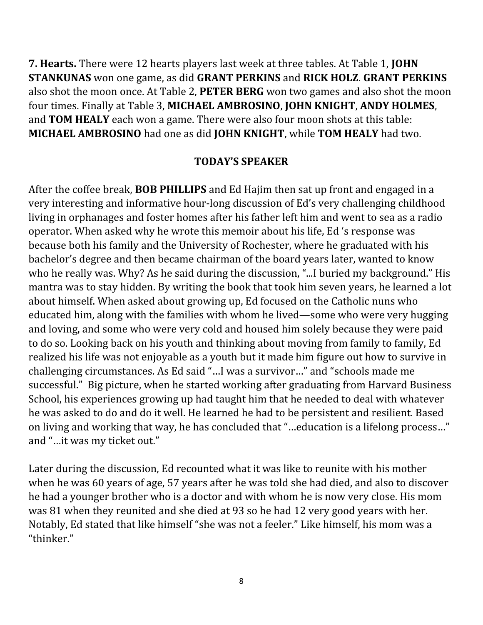**7. Hearts.** There were 12 hearts players last week at three tables. At Table 1, **JOHN STANKUNAS** won one game, as did **GRANT PERKINS** and **RICK HOLZ**. **GRANT PERKINS** also shot the moon once. At Table 2, **PETER BERG** won two games and also shot the moon four times. Finally at Table 3, **MICHAEL AMBROSINO**, **JOHN KNIGHT**, **ANDY HOLMES**, and **TOM HEALY** each won a game. There were also four moon shots at this table: **MICHAEL AMBROSINO** had one as did **JOHN KNIGHT**, while **TOM HEALY** had two.

### **TODAY'S SPEAKER**

After the coffee break, **BOB PHILLIPS** and Ed Hajim then sat up front and engaged in a very interesting and informative hour-long discussion of Ed's very challenging childhood living in orphanages and foster homes after his father left him and went to sea as a radio operator. When asked why he wrote this memoir about his life, Ed 's response was because both his family and the University of Rochester, where he graduated with his bachelor's degree and then became chairman of the board years later, wanted to know who he really was. Why? As he said during the discussion, "...I buried my background." His mantra was to stay hidden. By writing the book that took him seven years, he learned a lot about himself. When asked about growing up, Ed focused on the Catholic nuns who educated him, along with the families with whom he lived—some who were very hugging and loving, and some who were very cold and housed him solely because they were paid to do so. Looking back on his youth and thinking about moving from family to family, Ed realized his life was not enjoyable as a youth but it made him figure out how to survive in challenging circumstances. As Ed said "…I was a survivor…" and "schools made me successful." Big picture, when he started working after graduating from Harvard Business School, his experiences growing up had taught him that he needed to deal with whatever he was asked to do and do it well. He learned he had to be persistent and resilient. Based on living and working that way, he has concluded that "…education is a lifelong process…" and "…it was my ticket out."

Later during the discussion, Ed recounted what it was like to reunite with his mother when he was 60 years of age, 57 years after he was told she had died, and also to discover he had a younger brother who is a doctor and with whom he is now very close. His mom was 81 when they reunited and she died at 93 so he had 12 very good years with her. Notably, Ed stated that like himself "she was not a feeler." Like himself, his mom was a "thinker."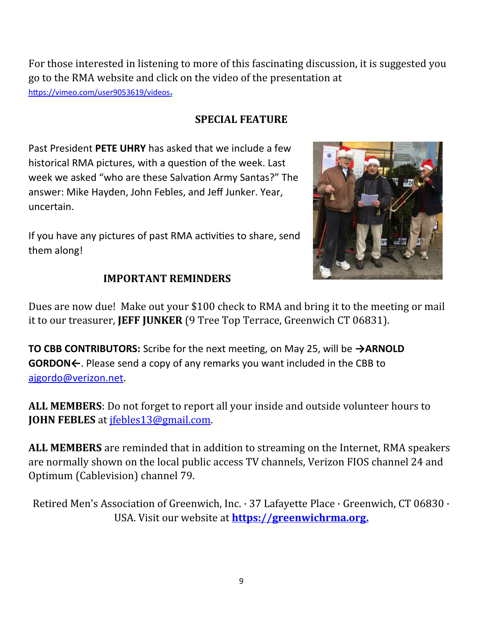For those interested in listening to more of this fascinating discussion, it is suggested you go to the RMA website and click on the video of the presentation at <https://vimeo.com/user9053619/videos> **.**

**SPECIAL FEATURE**

Past President **PETE UHRY** has asked that we include a few historical RMA pictures, with a question of the week. Last week we asked "who are these Salvation Army Santas?" The answer: Mike Hayden, John Febles, and Jeff Junker. Year, uncertain.

If you have any pictures of past RMA activities to share, send them along!



#### **IMPORTANT REMINDERS**

Dues are now due! Make out your \$100 check to RMA and bring it to the meeting or mail it to our treasurer, **JEFF JUNKER** (9 Tree Top Terrace, Greenwich CT 06831).

**TO CBB CONTRIBUTORS:** Scribe for the next meeting, on May 25, will be **→ARNOLD GORDON←**. Please send a copy of any remarks you want included in the CBB to [ajgordo@verizon.net](mailto:ajgordo@verizon.net).

**ALL MEMBERS**: Do not forget to report all your inside and outside volunteer hours to **JOHN FEBLES** at [jfebles13@gmail.com](mailto:jfebles13@gmail.com).

**ALL MEMBERS** are reminded that in addition to streaming on the Internet, RMA speakers are normally shown on the local public access TV channels, Verizon FIOS channel 24 and Optimum (Cablevision) channel 79.

Retired Men's Association of Greenwich, Inc. · 37 Lafayette Place · Greenwich, CT 06830 · USA. Visit our website at **[https://greenwichrma.org](https://greenwichrma.org/) .**